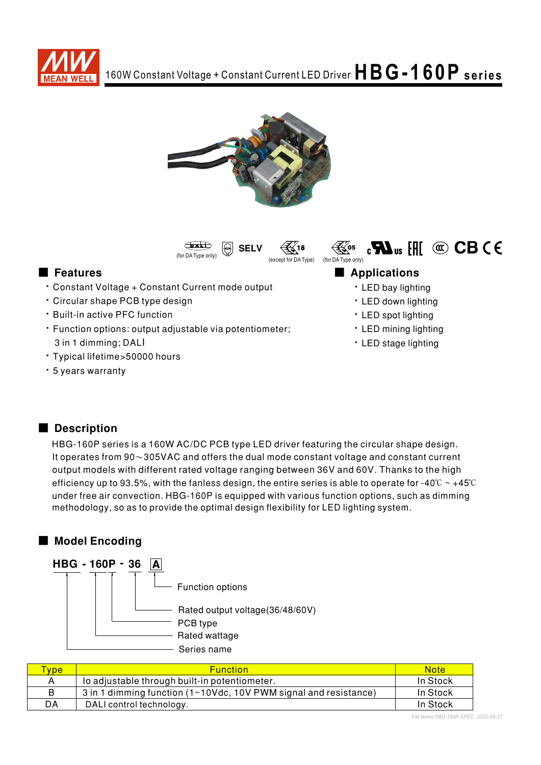





(except for DA Type) (for DA Type only)

- Constant Voltage + Constant Current mode output
- Circular shape PCB type design
- **· Built-in active PFC function**
- · Function options: output adjustable via potentiometer; 3 in 1 dimming; DALI
- Typical lifetime>50000 hours
- · 5 years warranty

#### ■ Features ■ Pressure and Pressure and Pressure and Pressure and Pressure and Pressure and Pressure and Pressure and Pressure and Pressure and Pressure and Pressure and Pressure and Pressure and Pressure and Pressure and

≹∢⁄o5

- LED bay lighting
- LED down lighting

 $_{c}$  M<sub>us</sub> [H]  $\circledcirc$  CB C E

- LED spot lighting
- LED mining lighting
- LED stage lighting

### Description

HBG-160P series is a 160W AC/DC PCB type LED driver featuring the circular shape design. It operates from  $90\sim305$ VAC and offers the dual mode constant voltage and constant current output models with different rated voltage ranging between 36V and 60V. Thanks to the high efficiency up to 93.5%, with the fanless design, the entire series is able to operate for -40°C  $\sim$  +45°C under free air convection. HBG-160P is equipped with various function options, such as dimming methodology, so as to provide the optimal design flexibility for LED lighting system.

### ■ Model Encoding



| vpe | <b>Function</b>                                                  | <b>Note</b> |
|-----|------------------------------------------------------------------|-------------|
|     | lo adjustable through built-in potentiometer.                    | In Stock    |
|     | 3 in 1 dimming function (1~10Vdc, 10V PWM signal and resistance) | In Stock    |
| DA  | DALI control technology.                                         | In Stock    |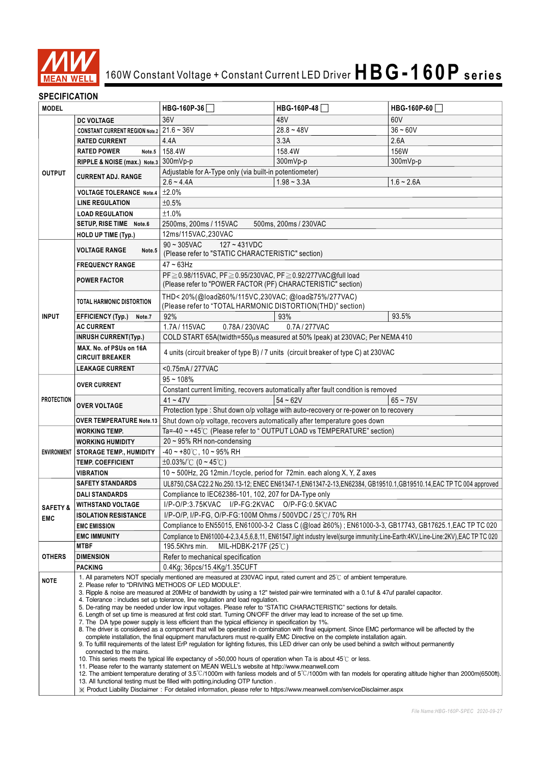

## 160W Constant Voltage + Constant Current LED Driver  $HBG-160P$  **series**

#### **SPECIFICATION**

| <b>MODEL</b>                                     |                                                                                                                                                                                                                                                                                                                                                                                                                                                                                                                                                                                                                                                                                                                                                                                                                                                                                                                                                                                                                                                                                                                                                                                                                                                                                                                                                                                                                                                                                                                                                                                                                                                                                                                 | HBG-160P-36                                                                                                                      | HBG-160P-48                                                                           | HBG-160P-60  |  |  |
|--------------------------------------------------|-----------------------------------------------------------------------------------------------------------------------------------------------------------------------------------------------------------------------------------------------------------------------------------------------------------------------------------------------------------------------------------------------------------------------------------------------------------------------------------------------------------------------------------------------------------------------------------------------------------------------------------------------------------------------------------------------------------------------------------------------------------------------------------------------------------------------------------------------------------------------------------------------------------------------------------------------------------------------------------------------------------------------------------------------------------------------------------------------------------------------------------------------------------------------------------------------------------------------------------------------------------------------------------------------------------------------------------------------------------------------------------------------------------------------------------------------------------------------------------------------------------------------------------------------------------------------------------------------------------------------------------------------------------------------------------------------------------------|----------------------------------------------------------------------------------------------------------------------------------|---------------------------------------------------------------------------------------|--------------|--|--|
|                                                  | <b>DC VOLTAGE</b>                                                                                                                                                                                                                                                                                                                                                                                                                                                                                                                                                                                                                                                                                                                                                                                                                                                                                                                                                                                                                                                                                                                                                                                                                                                                                                                                                                                                                                                                                                                                                                                                                                                                                               | 36V                                                                                                                              | 48V                                                                                   | 60V          |  |  |
| <b>OUTPUT</b>                                    | CONSTANT CURRENT REGION Note.2 $21.6 \sim 36V$                                                                                                                                                                                                                                                                                                                                                                                                                                                                                                                                                                                                                                                                                                                                                                                                                                                                                                                                                                                                                                                                                                                                                                                                                                                                                                                                                                                                                                                                                                                                                                                                                                                                  |                                                                                                                                  | $28.8 - 48V$                                                                          | $36 - 60V$   |  |  |
|                                                  | <b>RATED CURRENT</b>                                                                                                                                                                                                                                                                                                                                                                                                                                                                                                                                                                                                                                                                                                                                                                                                                                                                                                                                                                                                                                                                                                                                                                                                                                                                                                                                                                                                                                                                                                                                                                                                                                                                                            | 4.4A                                                                                                                             | 3.3A                                                                                  | 2.6A         |  |  |
|                                                  | <b>RATED POWER</b><br>Note.5                                                                                                                                                                                                                                                                                                                                                                                                                                                                                                                                                                                                                                                                                                                                                                                                                                                                                                                                                                                                                                                                                                                                                                                                                                                                                                                                                                                                                                                                                                                                                                                                                                                                                    | 158.4W                                                                                                                           | 158.4W                                                                                | 156W         |  |  |
|                                                  | RIPPLE & NOISE (max.) Note.3 300mVp-p                                                                                                                                                                                                                                                                                                                                                                                                                                                                                                                                                                                                                                                                                                                                                                                                                                                                                                                                                                                                                                                                                                                                                                                                                                                                                                                                                                                                                                                                                                                                                                                                                                                                           |                                                                                                                                  | 300mVp-p                                                                              | 300mVp-p     |  |  |
|                                                  |                                                                                                                                                                                                                                                                                                                                                                                                                                                                                                                                                                                                                                                                                                                                                                                                                                                                                                                                                                                                                                                                                                                                                                                                                                                                                                                                                                                                                                                                                                                                                                                                                                                                                                                 | Adjustable for A-Type only (via built-in potentiometer)                                                                          |                                                                                       |              |  |  |
|                                                  | <b>CURRENT ADJ. RANGE</b>                                                                                                                                                                                                                                                                                                                                                                                                                                                                                                                                                                                                                                                                                                                                                                                                                                                                                                                                                                                                                                                                                                                                                                                                                                                                                                                                                                                                                                                                                                                                                                                                                                                                                       | $2.6 - 4.4A$                                                                                                                     | $1.98 - 3.3A$                                                                         | $1.6 - 2.6A$ |  |  |
|                                                  | <b>VOLTAGE TOLERANCE Note.4</b>                                                                                                                                                                                                                                                                                                                                                                                                                                                                                                                                                                                                                                                                                                                                                                                                                                                                                                                                                                                                                                                                                                                                                                                                                                                                                                                                                                                                                                                                                                                                                                                                                                                                                 | ±2.0%                                                                                                                            |                                                                                       |              |  |  |
|                                                  | <b>LINE REGULATION</b>                                                                                                                                                                                                                                                                                                                                                                                                                                                                                                                                                                                                                                                                                                                                                                                                                                                                                                                                                                                                                                                                                                                                                                                                                                                                                                                                                                                                                                                                                                                                                                                                                                                                                          | ±0.5%                                                                                                                            |                                                                                       |              |  |  |
|                                                  | <b>LOAD REGULATION</b>                                                                                                                                                                                                                                                                                                                                                                                                                                                                                                                                                                                                                                                                                                                                                                                                                                                                                                                                                                                                                                                                                                                                                                                                                                                                                                                                                                                                                                                                                                                                                                                                                                                                                          | ±1.0%                                                                                                                            |                                                                                       |              |  |  |
|                                                  | SETUP, RISE TIME Note.6                                                                                                                                                                                                                                                                                                                                                                                                                                                                                                                                                                                                                                                                                                                                                                                                                                                                                                                                                                                                                                                                                                                                                                                                                                                                                                                                                                                                                                                                                                                                                                                                                                                                                         | 2500ms, 200ms / 115VAC<br>500ms, 200ms / 230VAC<br>12ms/115VAC,230VAC                                                            |                                                                                       |              |  |  |
|                                                  | HOLD UP TIME (Typ.)                                                                                                                                                                                                                                                                                                                                                                                                                                                                                                                                                                                                                                                                                                                                                                                                                                                                                                                                                                                                                                                                                                                                                                                                                                                                                                                                                                                                                                                                                                                                                                                                                                                                                             |                                                                                                                                  |                                                                                       |              |  |  |
|                                                  |                                                                                                                                                                                                                                                                                                                                                                                                                                                                                                                                                                                                                                                                                                                                                                                                                                                                                                                                                                                                                                                                                                                                                                                                                                                                                                                                                                                                                                                                                                                                                                                                                                                                                                                 | $90 \sim 305$ VAC<br>$127 - 431VDC$                                                                                              |                                                                                       |              |  |  |
|                                                  | <b>VOLTAGE RANGE</b><br>Note.5                                                                                                                                                                                                                                                                                                                                                                                                                                                                                                                                                                                                                                                                                                                                                                                                                                                                                                                                                                                                                                                                                                                                                                                                                                                                                                                                                                                                                                                                                                                                                                                                                                                                                  | (Please refer to "STATIC CHARACTERISTIC" section)                                                                                |                                                                                       |              |  |  |
|                                                  | <b>FREQUENCY RANGE</b>                                                                                                                                                                                                                                                                                                                                                                                                                                                                                                                                                                                                                                                                                                                                                                                                                                                                                                                                                                                                                                                                                                                                                                                                                                                                                                                                                                                                                                                                                                                                                                                                                                                                                          | $47 \sim 63$ Hz                                                                                                                  |                                                                                       |              |  |  |
|                                                  | <b>POWER FACTOR</b>                                                                                                                                                                                                                                                                                                                                                                                                                                                                                                                                                                                                                                                                                                                                                                                                                                                                                                                                                                                                                                                                                                                                                                                                                                                                                                                                                                                                                                                                                                                                                                                                                                                                                             | PF≥0.98/115VAC, PF≥0.95/230VAC, PF≥0.92/277VAC@full load                                                                         |                                                                                       |              |  |  |
|                                                  |                                                                                                                                                                                                                                                                                                                                                                                                                                                                                                                                                                                                                                                                                                                                                                                                                                                                                                                                                                                                                                                                                                                                                                                                                                                                                                                                                                                                                                                                                                                                                                                                                                                                                                                 | (Please refer to "POWER FACTOR (PF) CHARACTERISTIC" section)                                                                     |                                                                                       |              |  |  |
|                                                  | TOTAL HARMONIC DISTORTION                                                                                                                                                                                                                                                                                                                                                                                                                                                                                                                                                                                                                                                                                                                                                                                                                                                                                                                                                                                                                                                                                                                                                                                                                                                                                                                                                                                                                                                                                                                                                                                                                                                                                       | THD<20%(@load≧60%/115VC,230VAC;@load≧75%/277VAC)                                                                                 |                                                                                       |              |  |  |
|                                                  |                                                                                                                                                                                                                                                                                                                                                                                                                                                                                                                                                                                                                                                                                                                                                                                                                                                                                                                                                                                                                                                                                                                                                                                                                                                                                                                                                                                                                                                                                                                                                                                                                                                                                                                 | (Please refer to "TOTAL HARMONIC DISTORTION(THD)" section)                                                                       |                                                                                       |              |  |  |
| <b>INPUT</b>                                     | <b>EFFICIENCY (Typ.)</b><br>Note.7                                                                                                                                                                                                                                                                                                                                                                                                                                                                                                                                                                                                                                                                                                                                                                                                                                                                                                                                                                                                                                                                                                                                                                                                                                                                                                                                                                                                                                                                                                                                                                                                                                                                              | 92%                                                                                                                              | 93%                                                                                   | 93.5%        |  |  |
|                                                  | <b>AC CURRENT</b>                                                                                                                                                                                                                                                                                                                                                                                                                                                                                                                                                                                                                                                                                                                                                                                                                                                                                                                                                                                                                                                                                                                                                                                                                                                                                                                                                                                                                                                                                                                                                                                                                                                                                               | 1.7A/115VAC<br>0.78A/230VAC<br>0.7A/277VAC                                                                                       |                                                                                       |              |  |  |
|                                                  | <b>INRUSH CURRENT(Typ.)</b>                                                                                                                                                                                                                                                                                                                                                                                                                                                                                                                                                                                                                                                                                                                                                                                                                                                                                                                                                                                                                                                                                                                                                                                                                                                                                                                                                                                                                                                                                                                                                                                                                                                                                     | COLD START 65A(twidth=550µs measured at 50% Ipeak) at 230VAC; Per NEMA 410                                                       |                                                                                       |              |  |  |
|                                                  | MAX. No. of PSUs on 16A<br><b>CIRCUIT BREAKER</b>                                                                                                                                                                                                                                                                                                                                                                                                                                                                                                                                                                                                                                                                                                                                                                                                                                                                                                                                                                                                                                                                                                                                                                                                                                                                                                                                                                                                                                                                                                                                                                                                                                                               | 4 units (circuit breaker of type B) / 7 units (circuit breaker of type C) at 230VAC                                              |                                                                                       |              |  |  |
|                                                  | <b>LEAKAGE CURRENT</b>                                                                                                                                                                                                                                                                                                                                                                                                                                                                                                                                                                                                                                                                                                                                                                                                                                                                                                                                                                                                                                                                                                                                                                                                                                                                                                                                                                                                                                                                                                                                                                                                                                                                                          | <0.75mA / 277VAC                                                                                                                 |                                                                                       |              |  |  |
|                                                  |                                                                                                                                                                                                                                                                                                                                                                                                                                                                                                                                                                                                                                                                                                                                                                                                                                                                                                                                                                                                                                                                                                                                                                                                                                                                                                                                                                                                                                                                                                                                                                                                                                                                                                                 | $95 - 108%$                                                                                                                      |                                                                                       |              |  |  |
|                                                  | <b>OVER CURRENT</b>                                                                                                                                                                                                                                                                                                                                                                                                                                                                                                                                                                                                                                                                                                                                                                                                                                                                                                                                                                                                                                                                                                                                                                                                                                                                                                                                                                                                                                                                                                                                                                                                                                                                                             | Constant current limiting, recovers automatically after fault condition is removed                                               |                                                                                       |              |  |  |
| <b>PROTECTION</b>                                | <b>OVER VOLTAGE</b>                                                                                                                                                                                                                                                                                                                                                                                                                                                                                                                                                                                                                                                                                                                                                                                                                                                                                                                                                                                                                                                                                                                                                                                                                                                                                                                                                                                                                                                                                                                                                                                                                                                                                             | $41 - 47V$                                                                                                                       | $54 - 62V$                                                                            | $65 - 75V$   |  |  |
|                                                  |                                                                                                                                                                                                                                                                                                                                                                                                                                                                                                                                                                                                                                                                                                                                                                                                                                                                                                                                                                                                                                                                                                                                                                                                                                                                                                                                                                                                                                                                                                                                                                                                                                                                                                                 |                                                                                                                                  | Protection type : Shut down o/p voltage with auto-recovery or re-power on to recovery |              |  |  |
|                                                  | <b>OVER TEMPERATURE Note.13</b>                                                                                                                                                                                                                                                                                                                                                                                                                                                                                                                                                                                                                                                                                                                                                                                                                                                                                                                                                                                                                                                                                                                                                                                                                                                                                                                                                                                                                                                                                                                                                                                                                                                                                 | Shut down o/p voltage, recovers automatically after temperature goes down                                                        |                                                                                       |              |  |  |
|                                                  | <b>WORKING TEMP.</b>                                                                                                                                                                                                                                                                                                                                                                                                                                                                                                                                                                                                                                                                                                                                                                                                                                                                                                                                                                                                                                                                                                                                                                                                                                                                                                                                                                                                                                                                                                                                                                                                                                                                                            | Ta=-40 ~ +45℃ (Please refer to "OUTPUT LOAD vs TEMPERATURE" section)                                                             |                                                                                       |              |  |  |
|                                                  | <b>WORKING HUMIDITY</b>                                                                                                                                                                                                                                                                                                                                                                                                                                                                                                                                                                                                                                                                                                                                                                                                                                                                                                                                                                                                                                                                                                                                                                                                                                                                                                                                                                                                                                                                                                                                                                                                                                                                                         | $20 \sim 95\%$ RH non-condensing                                                                                                 |                                                                                       |              |  |  |
| <b>ENVIRONMENT</b>                               | <b>STORAGE TEMP., HUMIDITY</b>                                                                                                                                                                                                                                                                                                                                                                                                                                                                                                                                                                                                                                                                                                                                                                                                                                                                                                                                                                                                                                                                                                                                                                                                                                                                                                                                                                                                                                                                                                                                                                                                                                                                                  | $-40 \sim +80^{\circ}$ C, 10 ~ 95% RH                                                                                            |                                                                                       |              |  |  |
| ±0.03%/°C (0 ~ 45°C)<br><b>TEMP. COEFFICIENT</b> |                                                                                                                                                                                                                                                                                                                                                                                                                                                                                                                                                                                                                                                                                                                                                                                                                                                                                                                                                                                                                                                                                                                                                                                                                                                                                                                                                                                                                                                                                                                                                                                                                                                                                                                 |                                                                                                                                  |                                                                                       |              |  |  |
|                                                  | <b>VIBRATION</b>                                                                                                                                                                                                                                                                                                                                                                                                                                                                                                                                                                                                                                                                                                                                                                                                                                                                                                                                                                                                                                                                                                                                                                                                                                                                                                                                                                                                                                                                                                                                                                                                                                                                                                | 10 ~ 500Hz, 2G 12min./1cycle, period for 72min. each along X, Y, Z axes                                                          |                                                                                       |              |  |  |
|                                                  | <b>SAFETY STANDARDS</b>                                                                                                                                                                                                                                                                                                                                                                                                                                                                                                                                                                                                                                                                                                                                                                                                                                                                                                                                                                                                                                                                                                                                                                                                                                                                                                                                                                                                                                                                                                                                                                                                                                                                                         | UL8750, CSA C22.2 No.250.13-12; ENEC EN61347-1, EN61347-2-13, EN62384, GB19510.1, GB19510.14, EAC TP TC 004 approved             |                                                                                       |              |  |  |
|                                                  | <b>DALI STANDARDS</b>                                                                                                                                                                                                                                                                                                                                                                                                                                                                                                                                                                                                                                                                                                                                                                                                                                                                                                                                                                                                                                                                                                                                                                                                                                                                                                                                                                                                                                                                                                                                                                                                                                                                                           | Compliance to IEC62386-101, 102, 207 for DA-Type only                                                                            |                                                                                       |              |  |  |
| SAFETY &                                         | <b>WITHSTAND VOLTAGE</b>                                                                                                                                                                                                                                                                                                                                                                                                                                                                                                                                                                                                                                                                                                                                                                                                                                                                                                                                                                                                                                                                                                                                                                                                                                                                                                                                                                                                                                                                                                                                                                                                                                                                                        | I/P-O/P:3.75KVAC I/P-FG:2KVAC O/P-FG:0.5KVAC                                                                                     |                                                                                       |              |  |  |
| <b>EMC</b>                                       | <b>ISOLATION RESISTANCE</b>                                                                                                                                                                                                                                                                                                                                                                                                                                                                                                                                                                                                                                                                                                                                                                                                                                                                                                                                                                                                                                                                                                                                                                                                                                                                                                                                                                                                                                                                                                                                                                                                                                                                                     | I/P-O/P, I/P-FG, O/P-FG:100M Ohms / 500VDC / 25°C / 70% RH                                                                       |                                                                                       |              |  |  |
|                                                  | <b>EMC EMISSION</b>                                                                                                                                                                                                                                                                                                                                                                                                                                                                                                                                                                                                                                                                                                                                                                                                                                                                                                                                                                                                                                                                                                                                                                                                                                                                                                                                                                                                                                                                                                                                                                                                                                                                                             | Compliance to EN55015, EN61000-3-2 Class C (@load ≧60%) ; EN61000-3-3, GB17743, GB17625.1, EAC TP TC 020                         |                                                                                       |              |  |  |
|                                                  | <b>EMC IMMUNITY</b>                                                                                                                                                                                                                                                                                                                                                                                                                                                                                                                                                                                                                                                                                                                                                                                                                                                                                                                                                                                                                                                                                                                                                                                                                                                                                                                                                                                                                                                                                                                                                                                                                                                                                             | Compliance to EN61000-4-2,3,4,5,6,8,11, EN61547, light industry level(surge immunity:Line-Earth:4KV,Line-Line:2KV),EAC TP TC 020 |                                                                                       |              |  |  |
|                                                  | <b>MTBF</b>                                                                                                                                                                                                                                                                                                                                                                                                                                                                                                                                                                                                                                                                                                                                                                                                                                                                                                                                                                                                                                                                                                                                                                                                                                                                                                                                                                                                                                                                                                                                                                                                                                                                                                     | 195.5Khrs min.<br>MIL-HDBK-217F (25 $°C$ )                                                                                       |                                                                                       |              |  |  |
| <b>OTHERS</b>                                    | <b>DIMENSION</b>                                                                                                                                                                                                                                                                                                                                                                                                                                                                                                                                                                                                                                                                                                                                                                                                                                                                                                                                                                                                                                                                                                                                                                                                                                                                                                                                                                                                                                                                                                                                                                                                                                                                                                | Refer to mechanical specification                                                                                                |                                                                                       |              |  |  |
|                                                  | 0.4Kg; 36pcs/15.4Kg/1.35CUFT<br><b>PACKING</b>                                                                                                                                                                                                                                                                                                                                                                                                                                                                                                                                                                                                                                                                                                                                                                                                                                                                                                                                                                                                                                                                                                                                                                                                                                                                                                                                                                                                                                                                                                                                                                                                                                                                  |                                                                                                                                  |                                                                                       |              |  |  |
| <b>NOTE</b>                                      | 1. All parameters NOT specially mentioned are measured at 230VAC input, rated current and 25°C of ambient temperature.<br>2. Please refer to "DRIVING METHODS OF LED MODULE".<br>3. Ripple & noise are measured at 20MHz of bandwidth by using a 12" twisted pair-wire terminated with a 0.1uf & 47uf parallel capacitor.<br>4. Tolerance: includes set up tolerance, line regulation and load regulation.<br>5. De-rating may be needed under low input voltages. Please refer to "STATIC CHARACTERISTIC" sections for details.<br>6. Length of set up time is measured at first cold start. Turning ON/OFF the driver may lead to increase of the set up time.<br>7. The DA type power supply is less efficient than the typical efficiency in specification by 1%.<br>8. The driver is considered as a component that will be operated in combination with final equipment. Since EMC performance will be affected by the<br>complete installation, the final equipment manufacturers must re-qualify EMC Directive on the complete installation again.<br>9. To fulfill requirements of the latest ErP regulation for lighting fixtures, this LED driver can only be used behind a switch without permanently<br>connected to the mains.<br>10. This series meets the typical life expectancy of >50,000 hours of operation when Ta is about 45°C or less.<br>11. Please refer to the warranty statement on MEAN WELL's website at http://www.meanwell.com<br>12. The ambient temperature derating of 3.5°C/1000m with fanless models and of 5°C/1000m with fan models for operating altitude higher than 2000m(6500ft).<br>13. All functional testing must be filled with potting, including OTP function. |                                                                                                                                  |                                                                                       |              |  |  |
|                                                  | X Product Liability Disclaimer: For detailed information, please refer to https://www.meanwell.com/serviceDisclaimer.aspx                                                                                                                                                                                                                                                                                                                                                                                                                                                                                                                                                                                                                                                                                                                                                                                                                                                                                                                                                                                                                                                                                                                                                                                                                                                                                                                                                                                                                                                                                                                                                                                       |                                                                                                                                  |                                                                                       |              |  |  |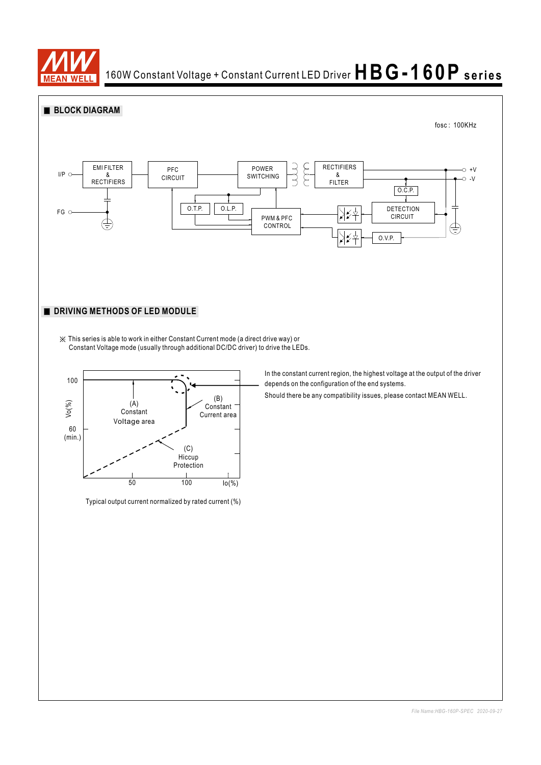

### 160W Constant Voltage + Constant Current LED Driver  $HBG-160P$  series





(C)

Typical output current normalized by rated current (%)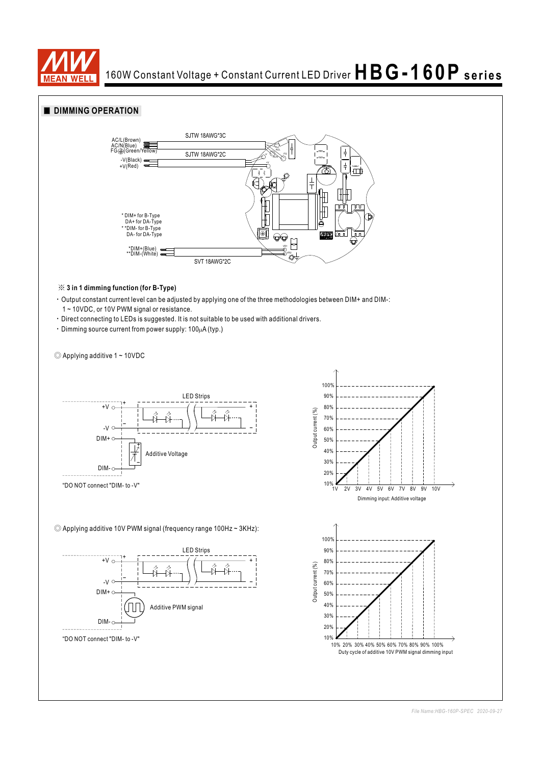

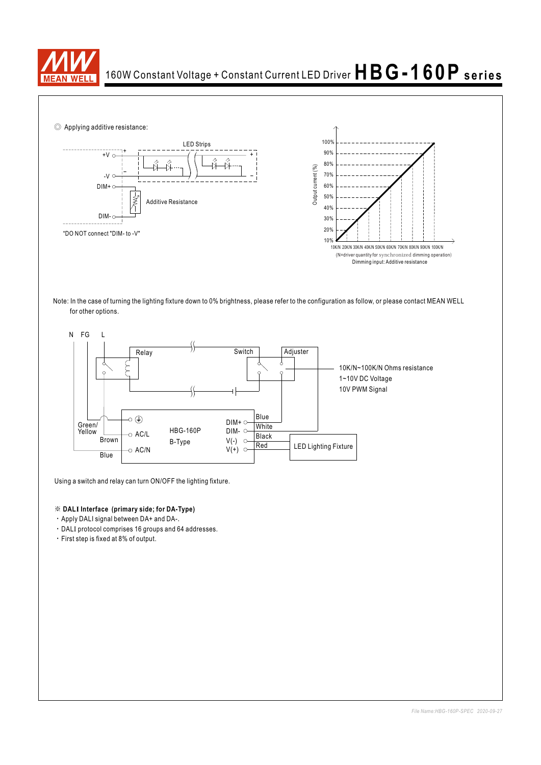





Using a switch and relay can turn ON/OFF the lighting fixture.

#### ※ **DALI Interface (primary side; for DA-Type)**

- ‧Apply DALI signal between DA+ and DA-.
- ‧DALI protocol comprises 16 groups and 64 addresses.
- ‧First step is fixed at 8% of output.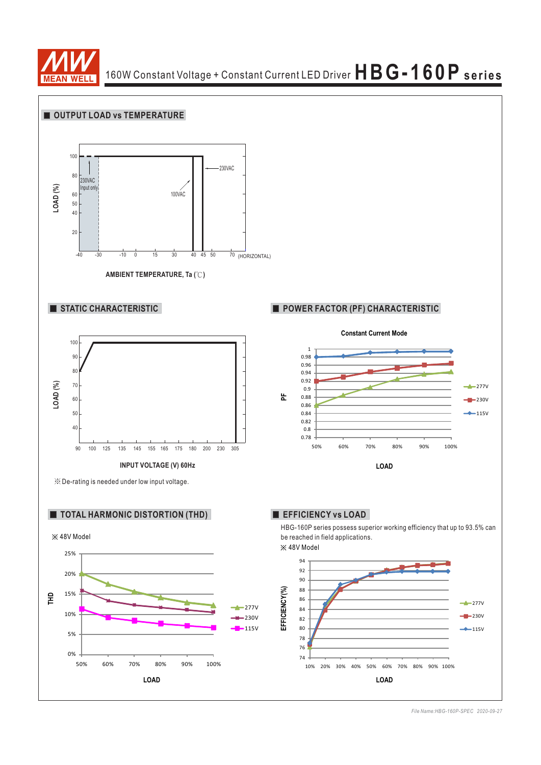

# 160W Constant Voltage + Constant Current LED Driver **HBG-160P series**



*File Name:HBG-160P-SPEC 2020-09-27*